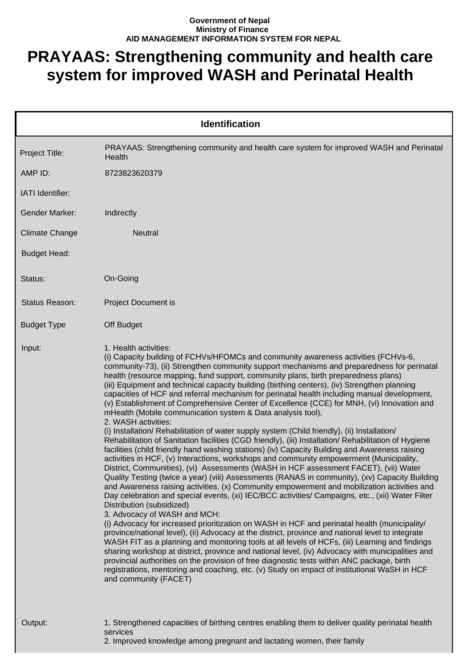## **Government of Nepal Ministry of Finance AID MANAGEMENT INFORMATION SYSTEM FOR NEPAL**

## **PRAYAAS: Strengthening community and health care system for improved WASH and Perinatal Health**

| <b>Identification</b> |                                                                                                                                                                                                                                                                                                                                                                                                                                                                                                                                                                                                                                                                                                                                                                                                                                                                                                                                                                                                                                                                                                                                                                                                                                                                                                                                                                                                                                                                                                                                                                                                                                                                                                                                                                                                                                                                                                                                                                                                                                                                                                                                                                                      |  |
|-----------------------|--------------------------------------------------------------------------------------------------------------------------------------------------------------------------------------------------------------------------------------------------------------------------------------------------------------------------------------------------------------------------------------------------------------------------------------------------------------------------------------------------------------------------------------------------------------------------------------------------------------------------------------------------------------------------------------------------------------------------------------------------------------------------------------------------------------------------------------------------------------------------------------------------------------------------------------------------------------------------------------------------------------------------------------------------------------------------------------------------------------------------------------------------------------------------------------------------------------------------------------------------------------------------------------------------------------------------------------------------------------------------------------------------------------------------------------------------------------------------------------------------------------------------------------------------------------------------------------------------------------------------------------------------------------------------------------------------------------------------------------------------------------------------------------------------------------------------------------------------------------------------------------------------------------------------------------------------------------------------------------------------------------------------------------------------------------------------------------------------------------------------------------------------------------------------------------|--|
| Project Title:        | PRAYAAS: Strengthening community and health care system for improved WASH and Perinatal<br>Health                                                                                                                                                                                                                                                                                                                                                                                                                                                                                                                                                                                                                                                                                                                                                                                                                                                                                                                                                                                                                                                                                                                                                                                                                                                                                                                                                                                                                                                                                                                                                                                                                                                                                                                                                                                                                                                                                                                                                                                                                                                                                    |  |
| AMP ID:               | 8723823620379                                                                                                                                                                                                                                                                                                                                                                                                                                                                                                                                                                                                                                                                                                                                                                                                                                                                                                                                                                                                                                                                                                                                                                                                                                                                                                                                                                                                                                                                                                                                                                                                                                                                                                                                                                                                                                                                                                                                                                                                                                                                                                                                                                        |  |
| IATI Identifier:      |                                                                                                                                                                                                                                                                                                                                                                                                                                                                                                                                                                                                                                                                                                                                                                                                                                                                                                                                                                                                                                                                                                                                                                                                                                                                                                                                                                                                                                                                                                                                                                                                                                                                                                                                                                                                                                                                                                                                                                                                                                                                                                                                                                                      |  |
| <b>Gender Marker:</b> | Indirectly                                                                                                                                                                                                                                                                                                                                                                                                                                                                                                                                                                                                                                                                                                                                                                                                                                                                                                                                                                                                                                                                                                                                                                                                                                                                                                                                                                                                                                                                                                                                                                                                                                                                                                                                                                                                                                                                                                                                                                                                                                                                                                                                                                           |  |
| <b>Climate Change</b> | <b>Neutral</b>                                                                                                                                                                                                                                                                                                                                                                                                                                                                                                                                                                                                                                                                                                                                                                                                                                                                                                                                                                                                                                                                                                                                                                                                                                                                                                                                                                                                                                                                                                                                                                                                                                                                                                                                                                                                                                                                                                                                                                                                                                                                                                                                                                       |  |
| <b>Budget Head:</b>   |                                                                                                                                                                                                                                                                                                                                                                                                                                                                                                                                                                                                                                                                                                                                                                                                                                                                                                                                                                                                                                                                                                                                                                                                                                                                                                                                                                                                                                                                                                                                                                                                                                                                                                                                                                                                                                                                                                                                                                                                                                                                                                                                                                                      |  |
| Status:               | On-Going                                                                                                                                                                                                                                                                                                                                                                                                                                                                                                                                                                                                                                                                                                                                                                                                                                                                                                                                                                                                                                                                                                                                                                                                                                                                                                                                                                                                                                                                                                                                                                                                                                                                                                                                                                                                                                                                                                                                                                                                                                                                                                                                                                             |  |
| Status Reason:        | <b>Project Document is</b>                                                                                                                                                                                                                                                                                                                                                                                                                                                                                                                                                                                                                                                                                                                                                                                                                                                                                                                                                                                                                                                                                                                                                                                                                                                                                                                                                                                                                                                                                                                                                                                                                                                                                                                                                                                                                                                                                                                                                                                                                                                                                                                                                           |  |
| <b>Budget Type</b>    | Off Budget                                                                                                                                                                                                                                                                                                                                                                                                                                                                                                                                                                                                                                                                                                                                                                                                                                                                                                                                                                                                                                                                                                                                                                                                                                                                                                                                                                                                                                                                                                                                                                                                                                                                                                                                                                                                                                                                                                                                                                                                                                                                                                                                                                           |  |
| Input:                | 1. Health activities:<br>(i) Capacity building of FCHVs/HFOMCs and community awareness activities (FCHVs-6,<br>community-73), (ii) Strengthen community support mechanisms and preparedness for perinatal<br>health (resource mapping, fund support, community plans, birth preparedness plans)<br>(iii) Equipment and technical capacity building (birthing centers), (iv) Strengthen planning<br>capacities of HCF and referral mechanism for perinatal health including manual development,<br>(v) Establishment of Comprehensive Center of Excellence (CCE) for MNH, (vi) Innovation and<br>mHealth (Mobile communication system & Data analysis tool),<br>2. WASH activities:<br>(i) Installation/ Rehabilitation of water supply system (Child friendly), (ii) Installation/<br>Rehabilitation of Sanitation facilities (CGD friendly), (iii) Installation/ Rehabilitation of Hygiene<br>facilities (child friendly hand washing stations) (iv) Capacity Building and Awareness raising<br>activities in HCF, (v) Interactions, workshops and community empowerment (Municipality,<br>District, Communities), (vi) Assessments (WASH in HCF assessment FACET), (vii) Water<br>Quality Testing (twice a year) (viii) Assessments (RANAS in community), (xv) Capacity Building<br>and Awareness raising activities, (x) Community empowerment and mobilization activities and<br>Day celebration and special events, (xi) IEC/BCC activities/ Campaigns, etc., (xii) Water Filter<br>Distribution (subsidized)<br>3. Advocacy of WASH and MCH:<br>(i) Advocacy for increased prioritization on WASH in HCF and perinatal health (municipality/<br>province/national level), (ii) Advocacy at the district, province and national level to integrate<br>WASH FIT as a planning and monitoring tools at all levels of HCFs, (iii) Learning and findings<br>sharing workshop at district, province and national level, (iv) Advocacy with municipalities and<br>provincial authorities on the provision of free diagnostic tests within ANC package, birth<br>registrations, mentoring and coaching, etc. (v) Study on impact of institutional WaSH in HCF<br>and community (FACET) |  |
| Output:               | 1. Strengthened capacities of birthing centres enabling them to deliver quality perinatal health<br>services<br>2. Improved knowledge among pregnant and lactating women, their family                                                                                                                                                                                                                                                                                                                                                                                                                                                                                                                                                                                                                                                                                                                                                                                                                                                                                                                                                                                                                                                                                                                                                                                                                                                                                                                                                                                                                                                                                                                                                                                                                                                                                                                                                                                                                                                                                                                                                                                               |  |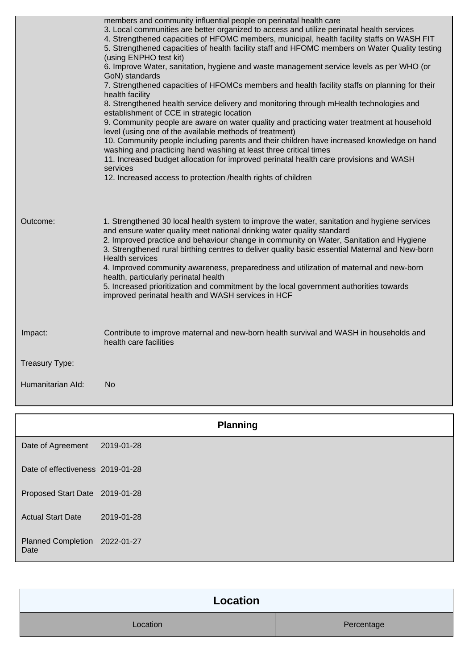|                   | members and community influential people on perinatal health care<br>3. Local communities are better organized to access and utilize perinatal health services<br>4. Strengthened capacities of HFOMC members, municipal, health facility staffs on WASH FIT<br>5. Strengthened capacities of health facility staff and HFOMC members on Water Quality testing<br>(using ENPHO test kit)<br>6. Improve Water, sanitation, hygiene and waste management service levels as per WHO (or<br>GoN) standards<br>7. Strengthened capacities of HFOMCs members and health facility staffs on planning for their<br>health facility<br>8. Strengthened health service delivery and monitoring through mHealth technologies and<br>establishment of CCE in strategic location<br>9. Community people are aware on water quality and practicing water treatment at household<br>level (using one of the available methods of treatment)<br>10. Community people including parents and their children have increased knowledge on hand<br>washing and practicing hand washing at least three critical times<br>11. Increased budget allocation for improved perinatal health care provisions and WASH<br>services<br>12. Increased access to protection /health rights of children |
|-------------------|------------------------------------------------------------------------------------------------------------------------------------------------------------------------------------------------------------------------------------------------------------------------------------------------------------------------------------------------------------------------------------------------------------------------------------------------------------------------------------------------------------------------------------------------------------------------------------------------------------------------------------------------------------------------------------------------------------------------------------------------------------------------------------------------------------------------------------------------------------------------------------------------------------------------------------------------------------------------------------------------------------------------------------------------------------------------------------------------------------------------------------------------------------------------------------------------------------------------------------------------------------------------|
| Outcome:          | 1. Strengthened 30 local health system to improve the water, sanitation and hygiene services<br>and ensure water quality meet national drinking water quality standard<br>2. Improved practice and behaviour change in community on Water, Sanitation and Hygiene<br>3. Strengthened rural birthing centres to deliver quality basic essential Maternal and New-born<br><b>Health services</b><br>4. Improved community awareness, preparedness and utilization of maternal and new-born<br>health, particularly perinatal health<br>5. Increased prioritization and commitment by the local government authorities towards<br>improved perinatal health and WASH services in HCF                                                                                                                                                                                                                                                                                                                                                                                                                                                                                                                                                                                      |
| Impact:           | Contribute to improve maternal and new-born health survival and WASH in households and<br>health care facilities                                                                                                                                                                                                                                                                                                                                                                                                                                                                                                                                                                                                                                                                                                                                                                                                                                                                                                                                                                                                                                                                                                                                                       |
| Treasury Type:    |                                                                                                                                                                                                                                                                                                                                                                                                                                                                                                                                                                                                                                                                                                                                                                                                                                                                                                                                                                                                                                                                                                                                                                                                                                                                        |
| Humanitarian Ald: | No                                                                                                                                                                                                                                                                                                                                                                                                                                                                                                                                                                                                                                                                                                                                                                                                                                                                                                                                                                                                                                                                                                                                                                                                                                                                     |

|                                       | <b>Planning</b> |  |
|---------------------------------------|-----------------|--|
| Date of Agreement                     | 2019-01-28      |  |
| Date of effectiveness 2019-01-28      |                 |  |
| Proposed Start Date 2019-01-28        |                 |  |
| <b>Actual Start Date</b>              | 2019-01-28      |  |
| Planned Completion 2022-01-27<br>Date |                 |  |

| Location |            |  |
|----------|------------|--|
| Location | Percentage |  |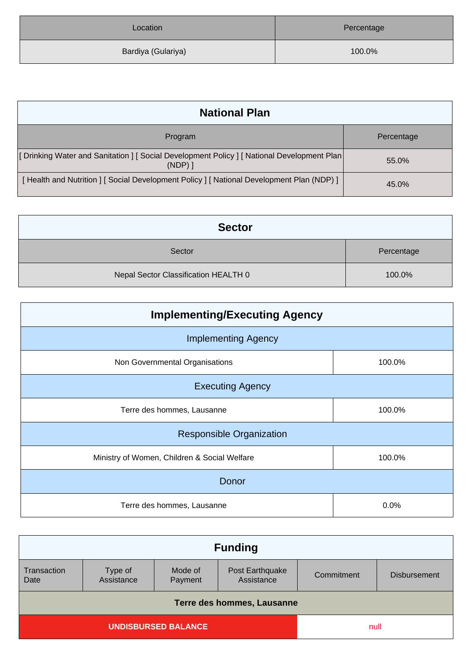| Location           | Percentage |
|--------------------|------------|
| Bardiya (Gulariya) | 100.0%     |

| <b>National Plan</b>                                                                                  |            |
|-------------------------------------------------------------------------------------------------------|------------|
| Program                                                                                               | Percentage |
| [Drinking Water and Sanitation ] [Social Development Policy ] [National Development Plan<br>$(NDP)$ ] | 55.0%      |
| [Health and Nutrition ] [Social Development Policy ] [National Development Plan (NDP) ]               | 45.0%      |

| <b>Sector</b>                        |            |
|--------------------------------------|------------|
| Sector                               | Percentage |
| Nepal Sector Classification HEALTH 0 | 100.0%     |

| <b>Implementing/Executing Agency</b>         |        |  |  |
|----------------------------------------------|--------|--|--|
| <b>Implementing Agency</b>                   |        |  |  |
| Non Governmental Organisations               | 100.0% |  |  |
| <b>Executing Agency</b>                      |        |  |  |
| Terre des hommes, Lausanne                   | 100.0% |  |  |
| <b>Responsible Organization</b>              |        |  |  |
| Ministry of Women, Children & Social Welfare | 100.0% |  |  |
| Donor                                        |        |  |  |
| Terre des hommes, Lausanne                   | 0.0%   |  |  |

| <b>Funding</b>             |                       |                    |                               |            |                     |
|----------------------------|-----------------------|--------------------|-------------------------------|------------|---------------------|
| Transaction<br>Date        | Type of<br>Assistance | Mode of<br>Payment | Post Earthquake<br>Assistance | Commitment | <b>Disbursement</b> |
| Terre des hommes, Lausanne |                       |                    |                               |            |                     |
| <b>UNDISBURSED BALANCE</b> |                       |                    | null                          |            |                     |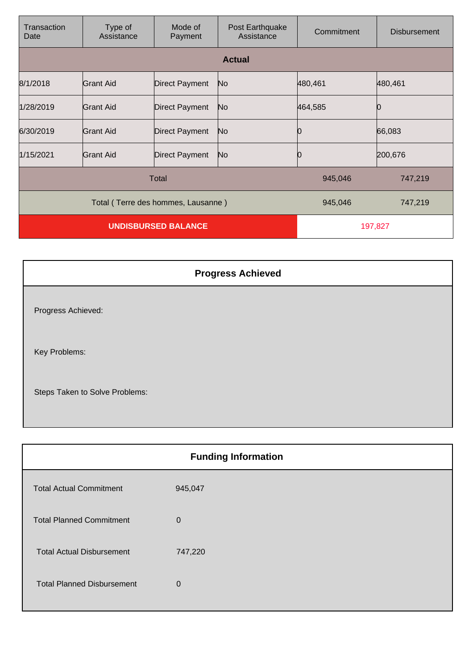| Transaction<br>Date                | Type of<br>Assistance | Mode of<br>Payment    | Post Earthquake<br>Assistance | Commitment | <b>Disbursement</b> |
|------------------------------------|-----------------------|-----------------------|-------------------------------|------------|---------------------|
|                                    |                       |                       | <b>Actual</b>                 |            |                     |
| 8/1/2018                           | Grant Aid             | <b>Direct Payment</b> | No                            | 480,461    | 480,461             |
| 1/28/2019                          | Grant Aid             | <b>Direct Payment</b> | No.                           | 464,585    |                     |
| 6/30/2019                          | Grant Aid             | <b>Direct Payment</b> | No.                           |            | 66,083              |
| 1/15/2021                          | Grant Aid             | <b>Direct Payment</b> | No.                           |            | 200,676             |
| <b>Total</b>                       |                       |                       | 945,046                       | 747,219    |                     |
| Total (Terre des hommes, Lausanne) |                       |                       |                               | 945,046    | 747,219             |
| <b>UNDISBURSED BALANCE</b>         |                       |                       |                               | 197,827    |                     |

|                                | <b>Progress Achieved</b> |
|--------------------------------|--------------------------|
| Progress Achieved:             |                          |
| Key Problems:                  |                          |
| Steps Taken to Solve Problems: |                          |

| <b>Funding Information</b>        |             |  |
|-----------------------------------|-------------|--|
| <b>Total Actual Commitment</b>    | 945,047     |  |
| <b>Total Planned Commitment</b>   | $\mathbf 0$ |  |
| <b>Total Actual Disbursement</b>  | 747,220     |  |
| <b>Total Planned Disbursement</b> | $\Omega$    |  |
|                                   |             |  |